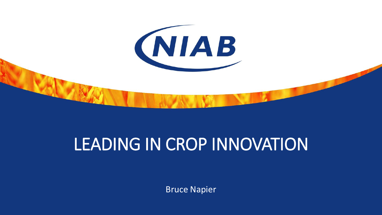

## LEADING IN CROP INNOVATION

Bruce Napier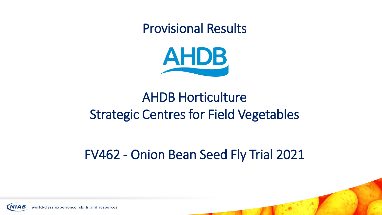Provisional Results



### AHDB Horticulture Strategic Centres for Field Vegetables

### FV462 - Onion Bean Seed Fly Trial 2021

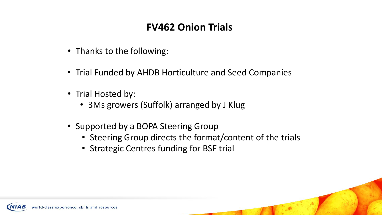#### **FV462 Onion Trials**

- Thanks to the following:
- Trial Funded by AHDB Horticulture and Seed Companies
- Trial Hosted by:
	- 3Ms growers (Suffolk) arranged by J Klug
- Supported by a BOPA Steering Group
	- Steering Group directs the format/content of the trials
	- Strategic Centres funding for BSF trial

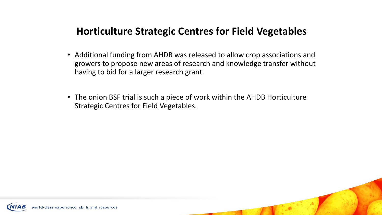#### **Horticulture Strategic Centres for Field Vegetables**

- Additional funding from AHDB was released to allow crop associations and growers to propose new areas of research and knowledge transfer without having to bid for a larger research grant.
- The onion BSF trial is such a piece of work within the AHDB Horticulture Strategic Centres for Field Vegetables.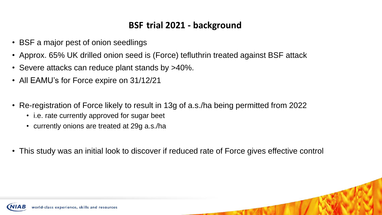#### **BSF trial 2021 - background**

- BSF a major pest of onion seedlings
- Approx. 65% UK drilled onion seed is (Force) tefluthrin treated against BSF attack
- Severe attacks can reduce plant stands by >40%.
- All EAMU's for Force expire on 31/12/21
- Re-registration of Force likely to result in 13g of a.s./ha being permitted from 2022
	- i.e. rate currently approved for sugar beet
	- currently onions are treated at 29g a.s./ha
- This study was an initial look to discover if reduced rate of Force gives effective control

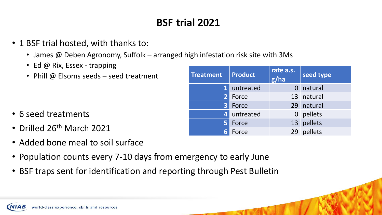#### **BSF trial 2021**

- 1 BSF trial hosted, with thanks to:
	- James @ Deben Agronomy, Suffolk arranged high infestation risk site with 3Ms
	- Ed @ Rix, Essex trapping
	- Phill @ Elsoms seeds seed treatment

- 6 seed treatments
- Drilled 26<sup>th</sup> March 2021
- Added bone meal to soil surface
- Population counts every 7-10 days from emergency to early June
- BSF traps sent for identification and reporting through Pest Bulletin

| <b>Treatment</b> | <b>Product</b> | rate a.s.<br>g/ha | seed type  |  |
|------------------|----------------|-------------------|------------|--|
| $\mathbf{1}$     | untreated      |                   | natural    |  |
| 2 <sup>1</sup>   | Force          |                   | 13 natural |  |
| 3                | Force          |                   | 29 natural |  |
| $\overline{4}$   | untreated      |                   | 0 pellets  |  |
| 5 <sup>1</sup>   | Force          |                   | 13 pellets |  |
|                  | Force          | 29                | pellets    |  |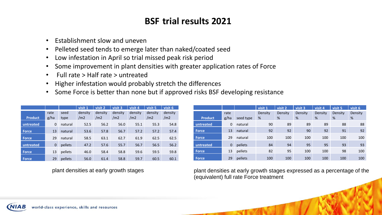#### **BSF trial results 2021**

- Establishment slow and uneven
- Pelleted seed tends to emerge later than naked/coated seed
- Low infestation in April so trial missed peak risk period
- Some improvement in plant densities with greater application rates of Force
- Full rate > Half rate > untreated
- Higher infestation would probably stretch the differences
- Some Force is better than none but if approved risks BSF developing resistance

|                |             |         | visit 1         | visit 2 | visit 3         | visit 4 | visit 5         | visit 6 |
|----------------|-------------|---------|-----------------|---------|-----------------|---------|-----------------|---------|
|                | rate        | seed    | density         | density | density         | density | density         | density |
| <b>Product</b> | g/ha        | type    | /m <sub>2</sub> | /m2     | /m <sub>2</sub> | /m2     | /m <sub>2</sub> | /m2     |
| untreated      | 0           | natural | 52.5            | 56.2    | 56.0            | 55.1    | 55.3            | 54.8    |
| <b>Force</b>   | 13          | natural | 53.6            | 57.8    | 56.7            | 57.2    | 57.2            | 57.4    |
| <b>Force</b>   | 29          | natural | 58.5            | 63.1    | 62.7            | 61.9    | 62.5            | 62.5    |
| untreated      | $\mathbf 0$ | pellets | 47.2            | 57.6    | 55.7            | 56.7    | 56.5            | 56.2    |
| <b>Force</b>   | 13          | pellets | 46.0            | 58.4    | 58.8            | 59.6    | 59.5            | 59.8    |
| <b>Force</b>   | 29          | pellets | 56.0            | 61.4    | 58.8            | 59.7    | 60.5            | 60.1    |

plant densities at early growth stages

|                |      |           | visit 1 | visit 2 | visit 3 | visit 4 | visit 5 | visit 6 |
|----------------|------|-----------|---------|---------|---------|---------|---------|---------|
|                | rate |           | Density | Density | Density | Density | Density | Density |
| <b>Product</b> | g/ha | seed type | %       | %       | %       | %       | %       | %       |
| untreated      | 0    | natural   | 90      | 89      | 89      | 89      | 88      | 88      |
| <b>Force</b>   | 13   | natural   | 92      | 92      | 90      | 92      | 91      | 92      |
| <b>Force</b>   | 29   | natural   | 100     | 100     | 100     | 100     | 100     | 100     |
| untreated      | 0    | pellets   | 84      | 94      | 95      | 95      | 93      | 93      |
| <b>Force</b>   | 13   | pellets   | 82      | 95      | 100     | 100     | 98      | 100     |
| <b>Force</b>   | 29   | pellets   | 100     | 100     | 100     | 100     | 100     | 100     |

plant densities at early growth stages expressed as a percentage of the (equivalent) full rate Force treatment